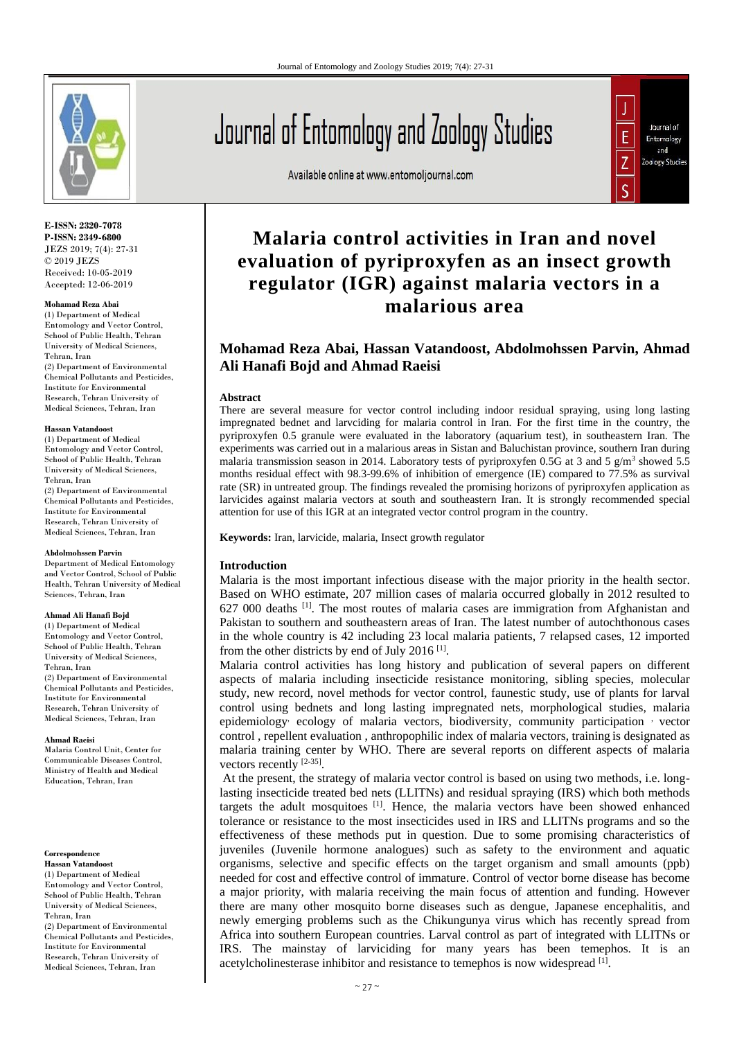

**E-ISSN: 2320-7078 P-ISSN: 2349-6800** JEZS 2019; 7(4): 27-31 © 2019 JEZS Received: 10-05-2019 Accepted: 12-06-2019

### **Mohamad Reza Abai**

(1) Department of Medical Entomology and Vector Control, School of Public Health, Tehran University of Medical Sciences, Tehran, Iran (2) Department of Environmental Chemical Pollutants and Pesticides, Institute for Environmental Research, Tehran University of Medical Sciences, Tehran, Iran

#### **Hassan Vatandoost**

(1) Department of Medical Entomology and Vector Control, School of Public Health, Tehran University of Medical Sciences, Tehran, Iran (2) Department of Environmental Chemical Pollutants and Pesticides, Institute for Environmental Research, Tehran University of Medical Sciences, Tehran, Iran

#### **Abdolmohssen Parvin**

Department of Medical Entomology and Vector Control, School of Public Health, Tehran University of Medical Sciences, Tehran, Iran

#### **Ahmad Ali Hanafi Bojd**

(1) Department of Medical Entomology and Vector Control, School of Public Health, Tehran University of Medical Sciences, Tehran, Iran (2) Department of Environmental Chemical Pollutants and Pesticides, Institute for Environmental Research, Tehran University of Medical Sciences, Tehran, Iran

#### **Ahmad Raeisi**

Malaria Control Unit, Center for Communicable Diseases Control, Ministry of Health and Medical Education, Tehran, Iran

## **Correspondence**

**Hassan Vatandoost** (1) Department of Medical Entomology and Vector Control, School of Public Health, Tehran University of Medical Sciences, Tehran, Iran (2) Department of Environmental Chemical Pollutants and Pesticides, Institute for Environmental Research, Tehran University of Medical Sciences, Tehran, Iran

Journal of Entomology and Zoology Studies

Available online at www.entomoljournal.com



# **Malaria control activities in Iran and novel evaluation of pyriproxyfen as an insect growth regulator (IGR) against malaria vectors in a malarious area**

# **Mohamad Reza Abai, Hassan Vatandoost, Abdolmohssen Parvin, Ahmad Ali Hanafi Bojd and Ahmad Raeisi**

## **Abstract**

There are several measure for vector control including indoor residual spraying, using long lasting impregnated bednet and larvciding for malaria control in Iran. For the first time in the country, the pyriproxyfen 0.5 granule were evaluated in the laboratory (aquarium test), in southeastern Iran. The experiments was carried out in a malarious areas in Sistan and Baluchistan province, southern Iran during malaria transmission season in 2014. Laboratory tests of pyriproxyfen 0.5G at 3 and 5  $g/m<sup>3</sup>$  showed 5.5 months residual effect with 98.3-99.6% of inhibition of emergence (IE) compared to 77.5% as survival rate (SR) in untreated group. The findings revealed the promising horizons of pyriproxyfen application as larvicides against malaria vectors at south and southeastern Iran. It is strongly recommended special attention for use of this IGR at an integrated vector control program in the country.

**Keywords:** Iran, larvicide, malaria, Insect growth regulator

# **Introduction**

Malaria is the most important infectious disease with the major priority in the health sector. Based on WHO estimate, 207 million cases of malaria occurred globally in 2012 resulted to 627 000 deaths [1]. The most routes of malaria cases are immigration from Afghanistan and Pakistan to southern and southeastern areas of Iran. The latest number of autochthonous cases in the whole country is 42 including 23 local malaria patients, 7 relapsed cases, 12 imported from the other districts by end of July 2016<sup>[1]</sup>.

Malaria control activities has long history and publication of several papers on different aspects of malaria including insecticide resistance monitoring, sibling species, molecular study, new record, novel methods for vector control, faunestic study, use of plants for larval control using bednets and long lasting impregnated nets, morphological studies, malaria epidemiology ecology of malaria vectors, biodiversity, community participation vector control , repellent evaluation , anthropophilic index of malaria vectors, training is designated as malaria training center by WHO. There are several reports on different aspects of malaria vectors recently [2-35].

At the present, the strategy of malaria vector control is based on using two methods, i.e. longlasting insecticide treated bed nets (LLITNs) and residual spraying (IRS) which both methods targets the adult mosquitoes  $[1]$ . Hence, the malaria vectors have been showed enhanced tolerance or resistance to the most insecticides used in IRS and LLITNs programs and so the effectiveness of these methods put in question. Due to some promising characteristics of juveniles (Juvenile hormone analogues) such as safety to the environment and aquatic organisms, selective and specific effects on the target organism and small amounts (ppb) needed for cost and effective control of immature. Control of vector borne disease has become a major priority, with malaria receiving the main focus of attention and funding. However there are many other mosquito borne diseases such as dengue, Japanese encephalitis, and newly emerging problems such as the Chikungunya virus which has recently spread from Africa into southern European countries. Larval control as part of integrated with LLITNs or IRS. The mainstay of larviciding for many years has been temephos. It is an acetylcholinesterase inhibitor and resistance to temephos is now widespread [1].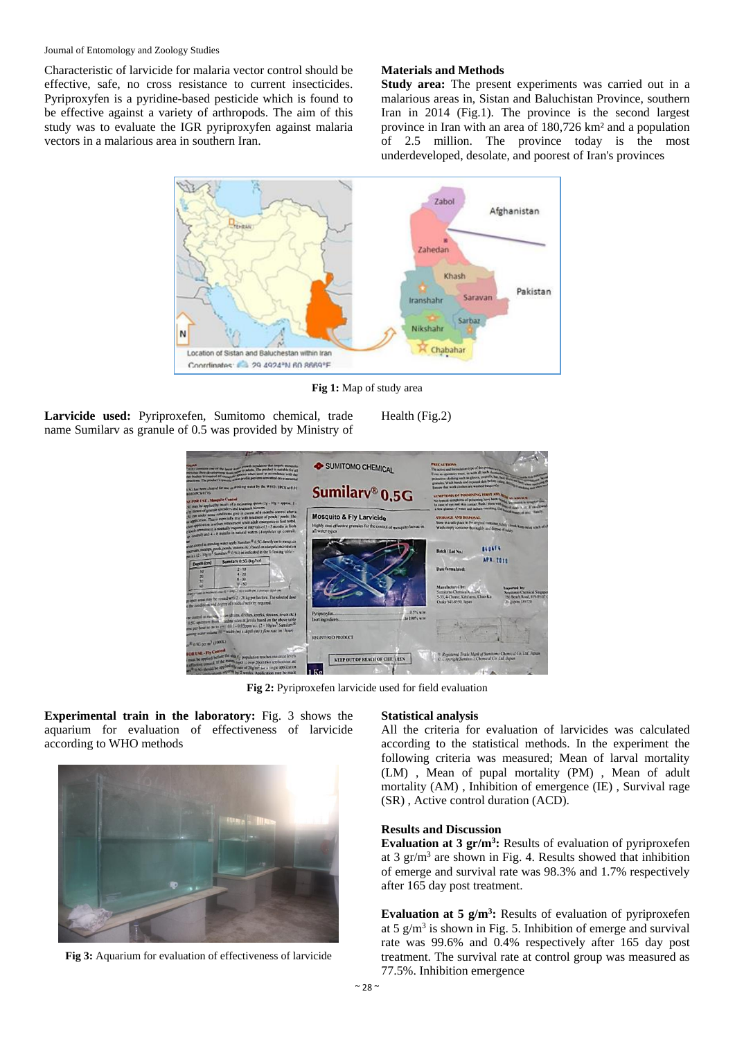## Journal of Entomology and Zoology Studies

Characteristic of larvicide for malaria vector control should be effective, safe, no cross resistance to current insecticides. Pyriproxyfen is a pyridine-based pesticide which is found to be effective against a variety of arthropods. The aim of this study was to evaluate the IGR pyriproxyfen against malaria vectors in a malarious area in southern Iran.

# **Materials and Methods**

**Study area:** The present experiments was carried out in a malarious areas in, Sistan and Baluchistan Province, southern Iran in 2014 (Fig.1). The province is the second largest province in Iran with an area of 180,726 km² and a population of 2.5 million. The province today is the most underdeveloped, desolate, and poorest of Iran's provinces



**Fig 1:** Map of study area

**Larvicide used:** Pyriproxefen, Sumitomo chemical, trade name Sumilarv as granule of 0.5 was provided by Ministry of Health (Fig.2)



**Fig 2:** Pyriproxefen larvicide used for field evaluation

**Experimental train in the laboratory:** Fig. 3 shows the aquarium for evaluation of effectiveness of larvicide according to WHO methods



**Fig 3:** Aquarium for evaluation of effectiveness of larvicide

## **Statistical analysis**

All the criteria for evaluation of larvicides was calculated according to the statistical methods. In the experiment the following criteria was measured; Mean of larval mortality (LM) , Mean of pupal mortality (PM) , Mean of adult mortality (AM) , Inhibition of emergence (IE) , Survival rage (SR) , Active control duration (ACD).

# **Results and Discussion**

**Evaluation at 3 gr/m<sup>3</sup> :** Results of evaluation of pyriproxefen at 3  $gr/m<sup>3</sup>$  are shown in Fig. 4. Results showed that inhibition of emerge and survival rate was 98.3% and 1.7% respectively after 165 day post treatment.

**Evaluation at 5 g/m<sup>3</sup> :** Results of evaluation of pyriproxefen at  $5 \text{ g/m}^3$  is shown in Fig. 5. Inhibition of emerge and survival rate was 99.6% and 0.4% respectively after 165 day post treatment. The survival rate at control group was measured as 77.5%. Inhibition emergence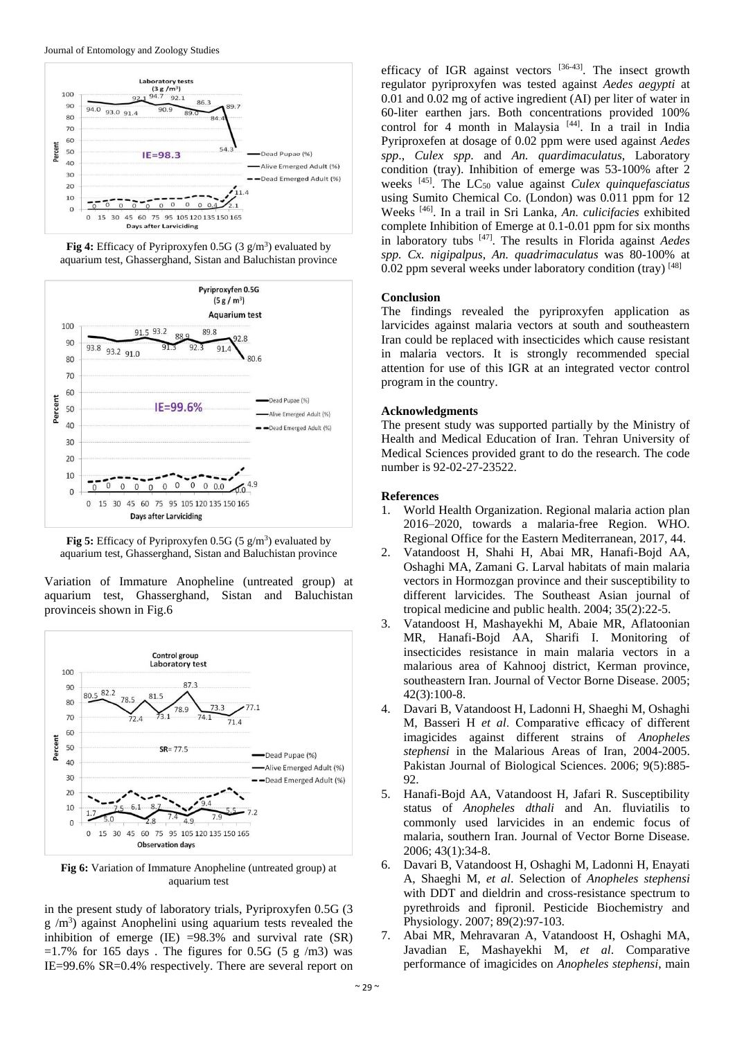

Fig 4: Efficacy of Pyriproxyfen 0.5G (3 g/m<sup>3</sup>) evaluated by aquarium test, Ghasserghand, Sistan and Baluchistan province



**Fig 5:** Efficacy of Pyriproxyfen  $0.5G$  (5 g/m<sup>3</sup>) evaluated by aquarium test, Ghasserghand, Sistan and Baluchistan province

Variation of Immature Anopheline (untreated group) at aquarium test, Ghasserghand, Sistan and Baluchistan provinceis shown in Fig.6



**Fig 6:** Variation of Immature Anopheline (untreated group) at aquarium test

in the present study of laboratory trials, Pyriproxyfen 0.5G (3  $g/m<sup>3</sup>$ ) against Anophelini using aquarium tests revealed the inhibition of emerge (IE)  $=98.3\%$  and survival rate (SR)  $=1.7\%$  for 165 days. The figures for 0.5G (5 g /m3) was IE=99.6% SR=0.4% respectively. There are several report on

efficacy of IGR against vectors  $[36-43]$ . The insect growth regulator pyriproxyfen was tested against *Aedes aegypti* at 0.01 and 0.02 mg of active ingredient (AI) per liter of water in 60-liter earthen jars. Both concentrations provided 100% control for 4 month in Malaysia<sup>[44]</sup>. In a trail in India Pyriproxefen at dosage of 0.02 ppm were used against *Aedes spp*., *Culex spp*. and *An. quardimaculatus*, Laboratory condition (tray). Inhibition of emerge was 53-100% after 2 weeks [45]. The LC<sup>50</sup> value against *Culex quinquefasciatus*  using Sumito Chemical Co. (London) was 0.011 ppm for 12 Weeks [46]. In a trail in Sri Lanka*, An. culicifacies* exhibited complete Inhibition of Emerge at 0.1-0.01 ppm for six months in laboratory tubs [47]. The results in Florida against *Aedes spp. Cx. nigipalpus*, *An. quadrimaculatus* was 80-100% at 0.02 ppm several weeks under laboratory condition (tray) [48]

## **Conclusion**

The findings revealed the pyriproxyfen application as larvicides against malaria vectors at south and southeastern Iran could be replaced with insecticides which cause resistant in malaria vectors. It is strongly recommended special attention for use of this IGR at an integrated vector control program in the country.

## **Acknowledgments**

The present study was supported partially by the Ministry of Health and Medical Education of Iran. Tehran University of Medical Sciences provided grant to do the research. The code number is 92-02-27-23522.

## **References**

- 1. World Health Organization. Regional malaria action plan 2016–2020, towards a malaria-free Region. WHO. Regional Office for the Eastern Mediterranean, 2017, 44.
- 2. Vatandoost H, Shahi H, Abai MR, Hanafi-Bojd AA, Oshaghi MA, Zamani G. Larval habitats of main malaria vectors in Hormozgan province and their susceptibility to different larvicides. The Southeast Asian journal of tropical medicine and public health. 2004; 35(2):22-5.
- 3. Vatandoost H, Mashayekhi M, Abaie MR, Aflatoonian MR, Hanafi-Bojd AA, Sharifi I. Monitoring of insecticides resistance in main malaria vectors in a malarious area of Kahnooj district, Kerman province, southeastern Iran. Journal of Vector Borne Disease. 2005; 42(3):100-8.
- 4. Davari B, Vatandoost H, Ladonni H, Shaeghi M, Oshaghi M, Basseri H *et al*. Comparative efficacy of different imagicides against different strains of *Anopheles stephensi* in the Malarious Areas of Iran, 2004-2005. Pakistan Journal of Biological Sciences. 2006; 9(5):885- 92.
- 5. Hanafi-Bojd AA, Vatandoost H, Jafari R. Susceptibility status of *Anopheles dthali* and An. fluviatilis to commonly used larvicides in an endemic focus of malaria, southern Iran. Journal of Vector Borne Disease. 2006; 43(1):34-8.
- 6. Davari B, Vatandoost H, Oshaghi M, Ladonni H, Enayati A, Shaeghi M, *et al*. Selection of *Anopheles stephensi*  with DDT and dieldrin and cross-resistance spectrum to pyrethroids and fipronil. Pesticide Biochemistry and Physiology. 2007; 89(2):97-103.
- 7. Abai MR, Mehravaran A, Vatandoost H, Oshaghi MA, Javadian E, Mashayekhi M, *et al*. Comparative performance of imagicides on *Anopheles stephensi*, main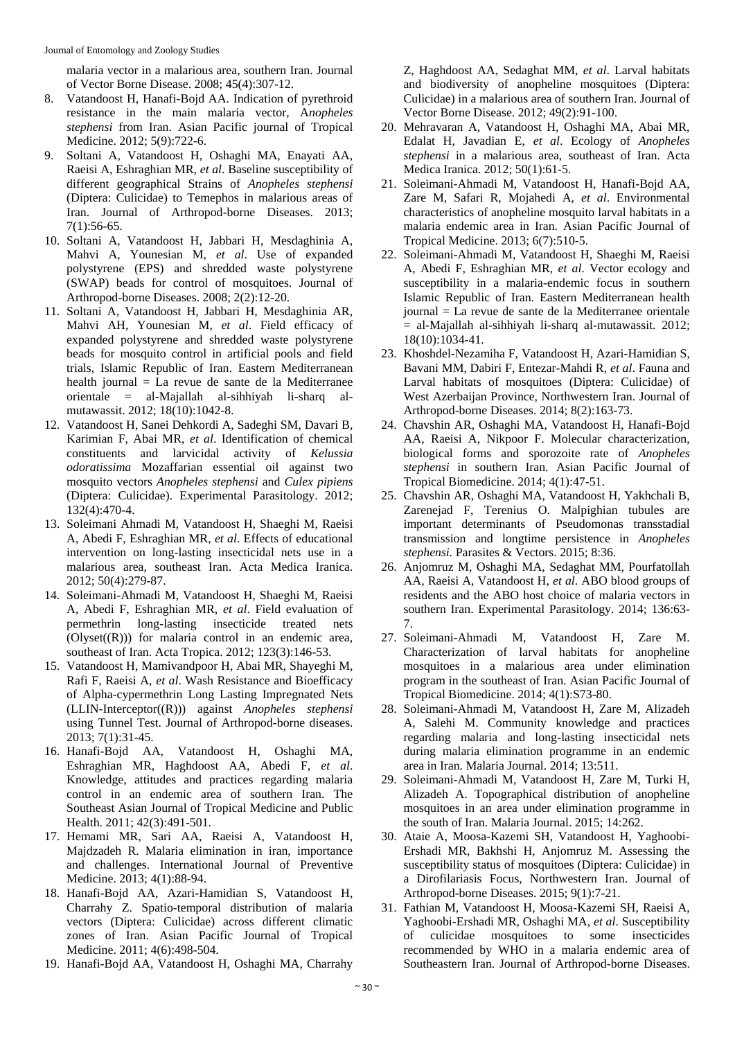malaria vector in a malarious area, southern Iran. Journal of Vector Borne Disease. 2008; 45(4):307-12.

- 8. Vatandoost H, Hanafi-Bojd AA. Indication of pyrethroid resistance in the main malaria vector, A*nopheles stephensi* from Iran. Asian Pacific journal of Tropical Medicine. 2012; 5(9):722-6.
- 9. Soltani A, Vatandoost H, Oshaghi MA, Enayati AA, Raeisi A, Eshraghian MR, *et al*. Baseline susceptibility of different geographical Strains of *Anopheles stephensi* (Diptera: Culicidae) to Temephos in malarious areas of Iran. Journal of Arthropod-borne Diseases. 2013; 7(1):56-65.
- 10. Soltani A, Vatandoost H, Jabbari H, Mesdaghinia A, Mahvi A, Younesian M, *et al*. Use of expanded polystyrene (EPS) and shredded waste polystyrene (SWAP) beads for control of mosquitoes. Journal of Arthropod-borne Diseases. 2008; 2(2):12-20.
- 11. Soltani A, Vatandoost H, Jabbari H, Mesdaghinia AR, Mahvi AH, Younesian M, *et al*. Field efficacy of expanded polystyrene and shredded waste polystyrene beads for mosquito control in artificial pools and field trials, Islamic Republic of Iran. Eastern Mediterranean health journal = La revue de sante de la Mediterranee orientale = al-Majallah al-sihhiyah li-sharq almutawassit. 2012; 18(10):1042-8.
- 12. Vatandoost H, Sanei Dehkordi A, Sadeghi SM, Davari B, Karimian F, Abai MR, *et al*. Identification of chemical constituents and larvicidal activity of *Kelussia odoratissima* Mozaffarian essential oil against two mosquito vectors *Anopheles stephensi* and *Culex pipiens*  (Diptera: Culicidae). Experimental Parasitology. 2012; 132(4):470-4.
- 13. Soleimani Ahmadi M, Vatandoost H, Shaeghi M, Raeisi A, Abedi F, Eshraghian MR, *et al*. Effects of educational intervention on long-lasting insecticidal nets use in a malarious area, southeast Iran. Acta Medica Iranica. 2012; 50(4):279-87.
- 14. Soleimani-Ahmadi M, Vatandoost H, Shaeghi M, Raeisi A, Abedi F, Eshraghian MR, *et al*. Field evaluation of permethrin long-lasting insecticide treated nets  $(Olyset((R)))$  for malaria control in an endemic area, southeast of Iran. Acta Tropica. 2012; 123(3):146-53.
- 15. Vatandoost H, Mamivandpoor H, Abai MR, Shayeghi M, Rafi F, Raeisi A, *et al*. Wash Resistance and Bioefficacy of Alpha-cypermethrin Long Lasting Impregnated Nets (LLIN-Interceptor((R))) against *Anopheles stephensi*  using Tunnel Test. Journal of Arthropod-borne diseases. 2013; 7(1):31-45.
- 16. Hanafi-Bojd AA, Vatandoost H, Oshaghi MA, Eshraghian MR, Haghdoost AA, Abedi F, *et al*. Knowledge, attitudes and practices regarding malaria control in an endemic area of southern Iran. The Southeast Asian Journal of Tropical Medicine and Public Health. 2011; 42(3):491-501.
- 17. Hemami MR, Sari AA, Raeisi A, Vatandoost H, Majdzadeh R. Malaria elimination in iran, importance and challenges. International Journal of Preventive Medicine. 2013; 4(1):88-94.
- 18. Hanafi-Bojd AA, Azari-Hamidian S, Vatandoost H, Charrahy Z. Spatio-temporal distribution of malaria vectors (Diptera: Culicidae) across different climatic zones of Iran. Asian Pacific Journal of Tropical Medicine. 2011; 4(6):498-504.
- 19. Hanafi-Bojd AA, Vatandoost H, Oshaghi MA, Charrahy

Z, Haghdoost AA, Sedaghat MM, *et al*. Larval habitats and biodiversity of anopheline mosquitoes (Diptera: Culicidae) in a malarious area of southern Iran. Journal of Vector Borne Disease. 2012; 49(2):91-100.

- 20. Mehravaran A, Vatandoost H, Oshaghi MA, Abai MR, Edalat H, Javadian E, *et al*. Ecology of *Anopheles stephensi* in a malarious area, southeast of Iran. Acta Medica Iranica. 2012; 50(1):61-5.
- 21. Soleimani-Ahmadi M, Vatandoost H, Hanafi-Bojd AA, Zare M, Safari R, Mojahedi A, *et al*. Environmental characteristics of anopheline mosquito larval habitats in a malaria endemic area in Iran. Asian Pacific Journal of Tropical Medicine. 2013; 6(7):510-5.
- 22. Soleimani-Ahmadi M, Vatandoost H, Shaeghi M, Raeisi A, Abedi F, Eshraghian MR, *et al*. Vector ecology and susceptibility in a malaria-endemic focus in southern Islamic Republic of Iran. Eastern Mediterranean health journal = La revue de sante de la Mediterranee orientale  $=$  al-Majallah al-sihhiyah li-sharq al-mutawassit. 2012; 18(10):1034-41.
- 23. Khoshdel-Nezamiha F, Vatandoost H, Azari-Hamidian S, Bavani MM, Dabiri F, Entezar-Mahdi R, *et al*. Fauna and Larval habitats of mosquitoes (Diptera: Culicidae) of West Azerbaijan Province, Northwestern Iran. Journal of Arthropod-borne Diseases. 2014; 8(2):163-73.
- 24. Chavshin AR, Oshaghi MA, Vatandoost H, Hanafi-Bojd AA, Raeisi A, Nikpoor F. Molecular characterization, biological forms and sporozoite rate of *Anopheles stephensi* in southern Iran. Asian Pacific Journal of Tropical Biomedicine. 2014; 4(1):47-51.
- 25. Chavshin AR, Oshaghi MA, Vatandoost H, Yakhchali B, Zarenejad F, Terenius O. Malpighian tubules are important determinants of Pseudomonas transstadial transmission and longtime persistence in *Anopheles stephensi.* Parasites & Vectors. 2015; 8:36.
- 26. Anjomruz M, Oshaghi MA, Sedaghat MM, Pourfatollah AA, Raeisi A, Vatandoost H, *et al*. ABO blood groups of residents and the ABO host choice of malaria vectors in southern Iran. Experimental Parasitology. 2014; 136:63- 7.
- 27. Soleimani-Ahmadi M, Vatandoost H, Zare M. Characterization of larval habitats for anopheline mosquitoes in a malarious area under elimination program in the southeast of Iran. Asian Pacific Journal of Tropical Biomedicine. 2014; 4(1):S73-80.
- 28. Soleimani-Ahmadi M, Vatandoost H, Zare M, Alizadeh A, Salehi M. Community knowledge and practices regarding malaria and long-lasting insecticidal nets during malaria elimination programme in an endemic area in Iran. Malaria Journal. 2014; 13:511.
- 29. Soleimani-Ahmadi M, Vatandoost H, Zare M, Turki H, Alizadeh A. Topographical distribution of anopheline mosquitoes in an area under elimination programme in the south of Iran. Malaria Journal. 2015; 14:262.
- 30. Ataie A, Moosa-Kazemi SH, Vatandoost H, Yaghoobi-Ershadi MR, Bakhshi H, Anjomruz M. Assessing the susceptibility status of mosquitoes (Diptera: Culicidae) in a Dirofilariasis Focus, Northwestern Iran. Journal of Arthropod-borne Diseases. 2015; 9(1):7-21.
- 31. Fathian M, Vatandoost H, Moosa-Kazemi SH, Raeisi A, Yaghoobi-Ershadi MR, Oshaghi MA, *et al*. Susceptibility of culicidae mosquitoes to some insecticides recommended by WHO in a malaria endemic area of Southeastern Iran. Journal of Arthropod-borne Diseases.